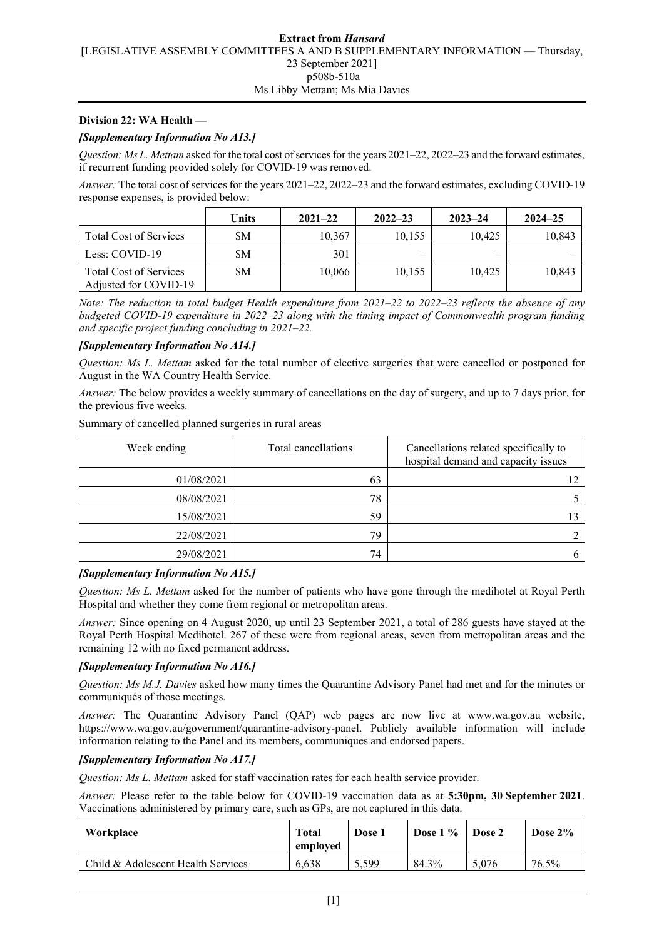### **Division 22: WA Health —**

### *[Supplementary Information No A13.]*

*Question: Ms L. Mettam* asked for the total cost of services for the years 2021–22, 2022–23 and the forward estimates, if recurrent funding provided solely for COVID-19 was removed.

*Answer:* The total cost of services for the years 2021–22, 2022–23 and the forward estimates, excluding COVID-19 response expenses, is provided below:

|                                                        | Units | $2021 - 22$ | $2022 - 23$ | $2023 - 24$ | $2024 - 25$ |
|--------------------------------------------------------|-------|-------------|-------------|-------------|-------------|
| <b>Total Cost of Services</b>                          | \$Μ   | 10,367      | 10.155      | 10.425      | 10,843      |
| Less: COVID-19                                         | \$Μ   | 301         |             | –           |             |
| <b>Total Cost of Services</b><br>Adjusted for COVID-19 | \$Μ   | 10,066      | 10.155      | 10.425      | 10,843      |

*Note: The reduction in total budget Health expenditure from 2021–22 to 2022–23 reflects the absence of any budgeted COVID-19 expenditure in 2022–23 along with the timing impact of Commonwealth program funding and specific project funding concluding in 2021–22.*

#### *[Supplementary Information No A14.]*

*Question: Ms L. Mettam* asked for the total number of elective surgeries that were cancelled or postponed for August in the WA Country Health Service.

*Answer:* The below provides a weekly summary of cancellations on the day of surgery, and up to 7 days prior, for the previous five weeks.

| Week ending | Total cancellations | Cancellations related specifically to<br>hospital demand and capacity issues |
|-------------|---------------------|------------------------------------------------------------------------------|
| 01/08/2021  | 63                  |                                                                              |
| 08/08/2021  | 78                  |                                                                              |
| 15/08/2021  | 59                  |                                                                              |
| 22/08/2021  | 79                  |                                                                              |
| 29/08/2021  | 74                  |                                                                              |

Summary of cancelled planned surgeries in rural areas

# *[Supplementary Information No A15.]*

*Question: Ms L. Mettam* asked for the number of patients who have gone through the medihotel at Royal Perth Hospital and whether they come from regional or metropolitan areas.

*Answer:* Since opening on 4 August 2020, up until 23 September 2021, a total of 286 guests have stayed at the Royal Perth Hospital Medihotel. 267 of these were from regional areas, seven from metropolitan areas and the remaining 12 with no fixed permanent address.

### *[Supplementary Information No A16.]*

*Question: Ms M.J. Davies* asked how many times the Quarantine Advisory Panel had met and for the minutes or communiqués of those meetings.

*Answer:* The Quarantine Advisory Panel (QAP) web pages are now live at www.wa.gov.au website, https://www.wa.gov.au/government/quarantine-advisory-panel. Publicly available information will include information relating to the Panel and its members, communiques and endorsed papers.

# *[Supplementary Information No A17.]*

*Question: Ms L. Mettam* asked for staff vaccination rates for each health service provider.

*Answer:* Please refer to the table below for COVID-19 vaccination data as at **5:30pm, 30 September 2021**. Vaccinations administered by primary care, such as GPs, are not captured in this data.

| Workplace                          | <b>Total</b><br>employed | Dose 1 | Dose $1\%$ | Dose 2 | Dose $2\%$ |
|------------------------------------|--------------------------|--------|------------|--------|------------|
| Child & Adolescent Health Services | 6.638                    | 5,599  | 84.3%      | 5.076  | 76.5%      |